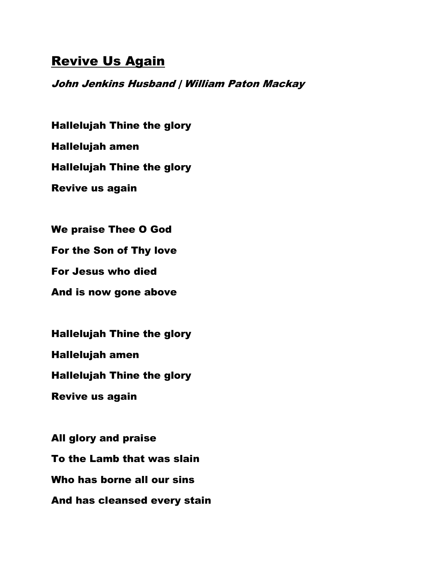# Revive Us Again

John Jenkins Husband | William Paton Mackay

Hallelujah Thine the glory Hallelujah amen Hallelujah Thine the glory Revive us again

We praise Thee O God

For the Son of Thy love

For Jesus who died

And is now gone above

Hallelujah Thine the glory

Hallelujah amen

Hallelujah Thine the glory

Revive us again

All glory and praise To the Lamb that was slain Who has borne all our sins And has cleansed every stain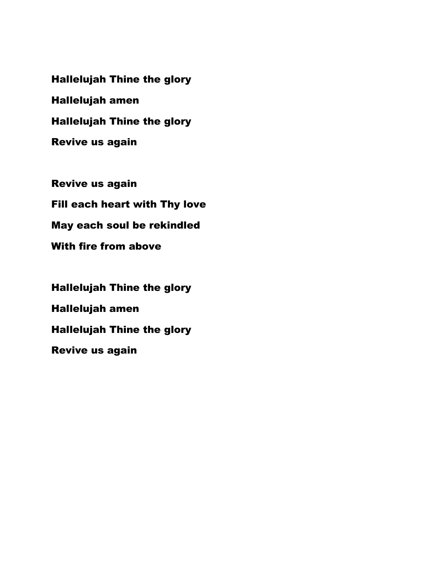Hallelujah Thine the glory Hallelujah amen Hallelujah Thine the glory Revive us again

Revive us again Fill each heart with Thy love May each soul be rekindled With fire from above

Hallelujah Thine the glory Hallelujah amen Hallelujah Thine the glory Revive us again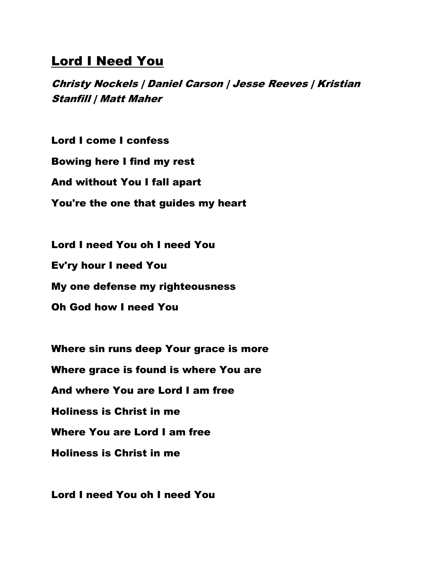### Lord I Need You

Christy Nockels | Daniel Carson | Jesse Reeves | Kristian Stanfill | Matt Maher

Lord I come I confess

Bowing here I find my rest

And without You I fall apart

You're the one that guides my heart

Lord I need You oh I need You

Ev'ry hour I need You

My one defense my righteousness

Oh God how I need You

Where sin runs deep Your grace is more Where grace is found is where You are And where You are Lord I am free Holiness is Christ in me Where You are Lord I am free Holiness is Christ in me

Lord I need You oh I need You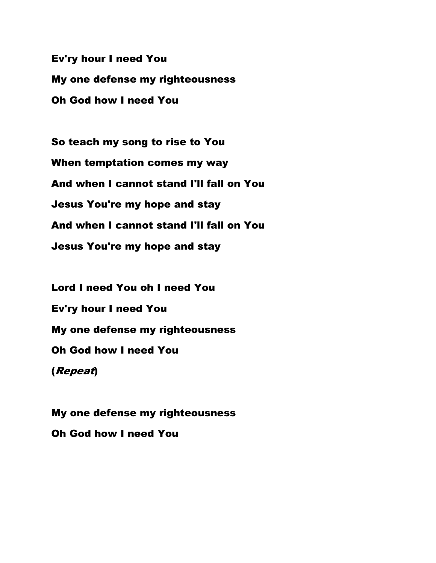Ev'ry hour I need You My one defense my righteousness Oh God how I need You

So teach my song to rise to You When temptation comes my way And when I cannot stand I'll fall on You Jesus You're my hope and stay And when I cannot stand I'll fall on You Jesus You're my hope and stay

Lord I need You oh I need You Ev'ry hour I need You My one defense my righteousness Oh God how I need You (Repeat)

My one defense my righteousness Oh God how I need You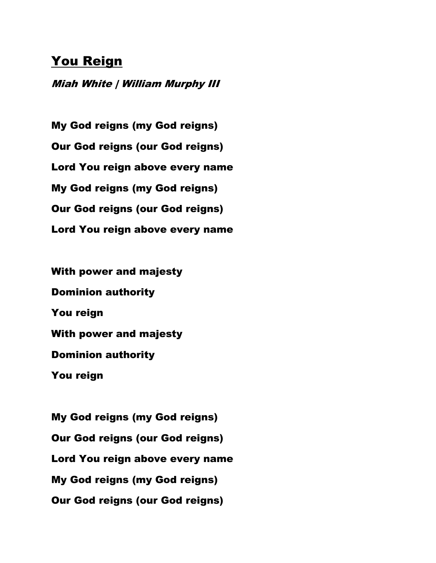# You Reign

### Miah White | William Murphy III

My God reigns (my God reigns) Our God reigns (our God reigns) Lord You reign above every name My God reigns (my God reigns) Our God reigns (our God reigns) Lord You reign above every name

With power and majesty Dominion authority You reign With power and majesty Dominion authority You reign

My God reigns (my God reigns) Our God reigns (our God reigns) Lord You reign above every name My God reigns (my God reigns) Our God reigns (our God reigns)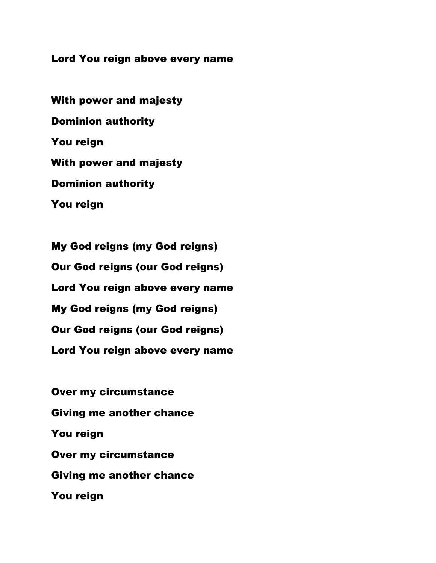Lord You reign above every name

With power and majesty Dominion authority You reign With power and majesty Dominion authority You reign

My God reigns (my God reigns) Our God reigns (our God reigns) Lord You reign above every name My God reigns (my God reigns) Our God reigns (our God reigns) Lord You reign above every name

Over my circumstance Giving me another chance You reign Over my circumstance Giving me another chance You reign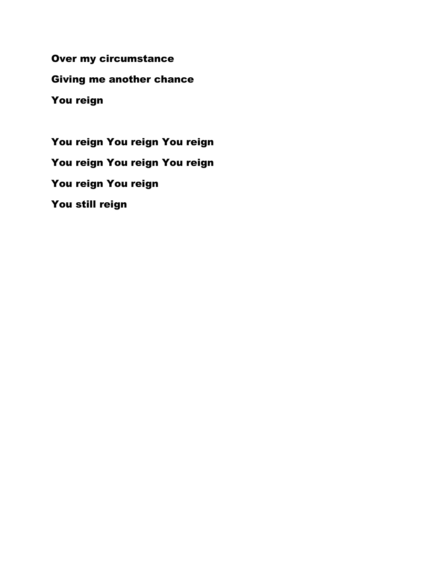Over my circumstance

Giving me another chance

You reign

You reign You reign You reign You reign You reign You reign You reign You reign You still reign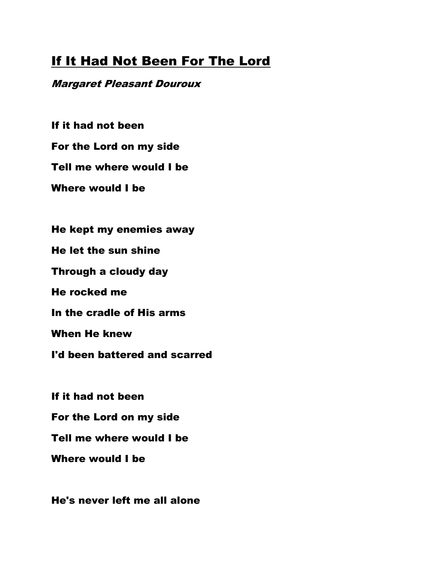# If It Had Not Been For The Lord

#### Margaret Pleasant Douroux

If it had not been

For the Lord on my side

Tell me where would I be

Where would I be

He kept my enemies away

He let the sun shine

Through a cloudy day

He rocked me

In the cradle of His arms

When He knew

I'd been battered and scarred

If it had not been

For the Lord on my side

Tell me where would I be

Where would I be

He's never left me all alone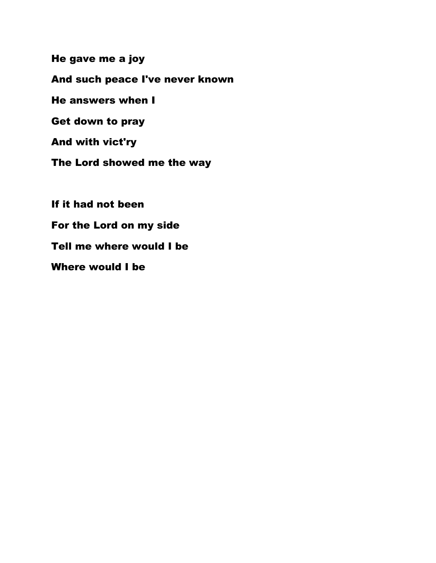He gave me a joy

And such peace I've never known

He answers when I

Get down to pray

And with vict'ry

The Lord showed me the way

If it had not been For the Lord on my side Tell me where would I be Where would I be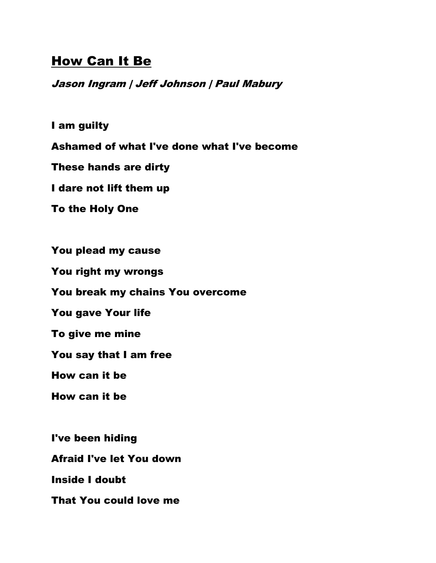# How Can It Be

Jason Ingram | Jeff Johnson | Paul Mabury

I am guilty

Ashamed of what I've done what I've become

These hands are dirty

I dare not lift them up

To the Holy One

You plead my cause

You right my wrongs

You break my chains You overcome

You gave Your life

To give me mine

You say that I am free

How can it be

How can it be

I've been hiding

Afraid I've let You down

Inside I doubt

That You could love me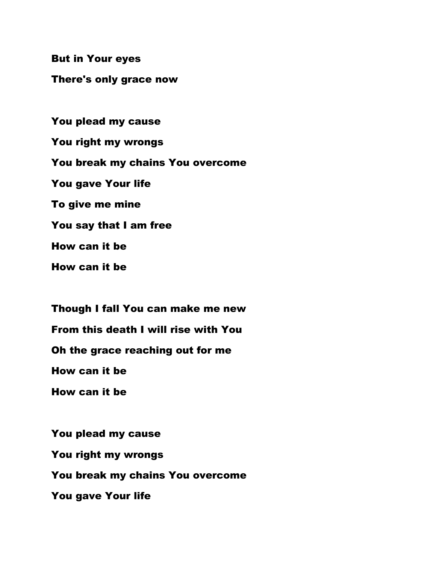But in Your eyes

There's only grace now

You plead my cause You right my wrongs You break my chains You overcome You gave Your life To give me mine You say that I am free How can it be

How can it be

Though I fall You can make me new From this death I will rise with You Oh the grace reaching out for me How can it be How can it be

You plead my cause

You right my wrongs

You break my chains You overcome

You gave Your life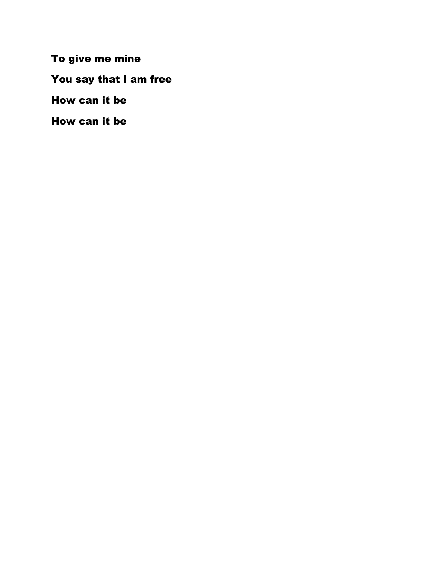To give me mine

You say that I am free

How can it be

How can it be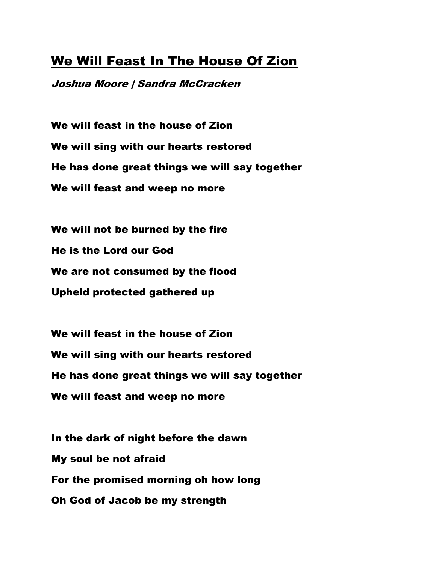## We Will Feast In The House Of Zion

Joshua Moore | Sandra McCracken

We will feast in the house of Zion We will sing with our hearts restored He has done great things we will say together We will feast and weep no more

We will not be burned by the fire He is the Lord our God We are not consumed by the flood Upheld protected gathered up

We will feast in the house of Zion We will sing with our hearts restored He has done great things we will say together We will feast and weep no more

In the dark of night before the dawn My soul be not afraid For the promised morning oh how long Oh God of Jacob be my strength